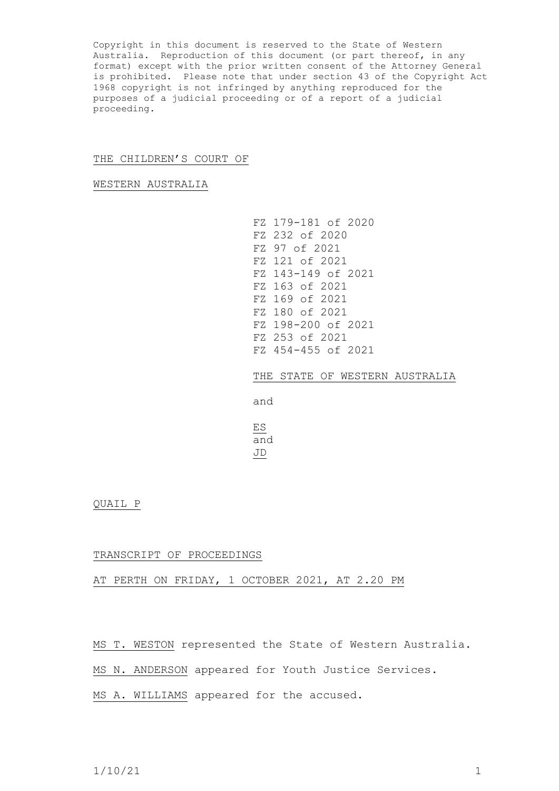Copyright in this document is reserved to the State of Western Australia. Reproduction of this document (or part thereof, in any format) except with the prior written consent of the Attorney General is prohibited. Please note that under section 43 of the Copyright Act 1968 copyright is not infringed by anything reproduced for the purposes of a judicial proceeding or of a report of a judicial proceeding.

## THE CHILDREN'S COURT OF

WESTERN AUSTRALIA

FZ 179-181 of 2020 FZ 232 of 2020 FZ 97 of 2021 FZ 121 of 2021 FZ 143-149 of 2021 FZ 163 of 2021 FZ 169 of 2021 FZ 180 of 2021 FZ 198-200 of 2021 FZ 253 of 2021 FZ 454-455 of 2021

THE STATE OF WESTERN AUSTRALIA

and

ES and JD

QUAIL P

## TRANSCRIPT OF PROCEEDINGS

## AT PERTH ON FRIDAY, 1 OCTOBER 2021, AT 2.20 PM

MS T. WESTON represented the State of Western Australia.

MS N. ANDERSON appeared for Youth Justice Services.

MS A. WILLIAMS appeared for the accused.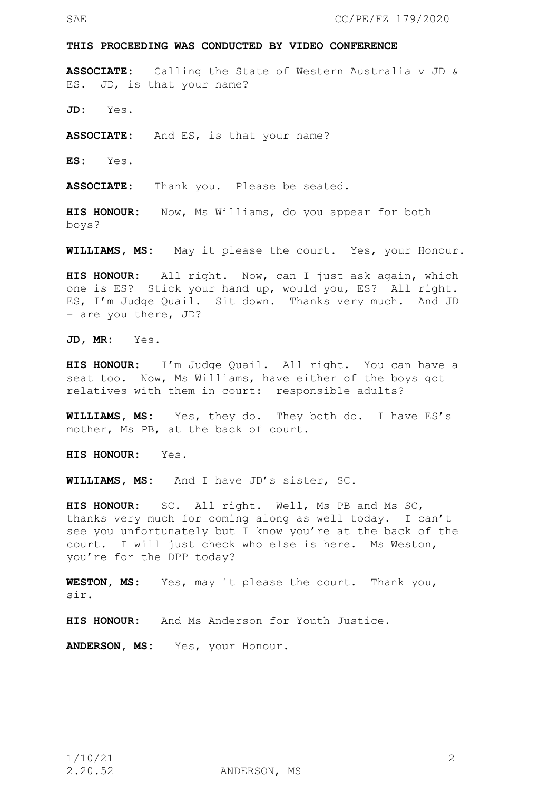### **THIS PROCEEDING WAS CONDUCTED BY VIDEO CONFERENCE**

**ASSOCIATE:** Calling the State of Western Australia v JD & ES. JD, is that your name?

**JD:** Yes.

**ASSOCIATE:** And ES, is that your name?

**ES:** Yes.

**ASSOCIATE:** Thank you. Please be seated.

**HIS HONOUR:** Now, Ms Williams, do you appear for both boys?

**WILLIAMS, MS:** May it please the court. Yes, your Honour.

**HIS HONOUR:** All right. Now, can I just ask again, which one is ES? Stick your hand up, would you, ES? All right. ES, I'm Judge Quail. Sit down. Thanks very much. And JD – are you there, JD?

**JD, MR:** Yes.

**HIS HONOUR:** I'm Judge Quail. All right. You can have a seat too. Now, Ms Williams, have either of the boys got relatives with them in court: responsible adults?

**WILLIAMS, MS:** Yes, they do. They both do. I have ES's mother, Ms PB, at the back of court.

**HIS HONOUR:** Yes.

**WILLIAMS, MS:** And I have JD's sister, SC.

**HIS HONOUR:** SC. All right. Well, Ms PB and Ms SC, thanks very much for coming along as well today. I can't see you unfortunately but I know you're at the back of the court. I will just check who else is here. Ms Weston, you're for the DPP today?

**WESTON, MS:** Yes, may it please the court. Thank you, sir.

**HIS HONOUR:** And Ms Anderson for Youth Justice.

**ANDERSON, MS:** Yes, your Honour.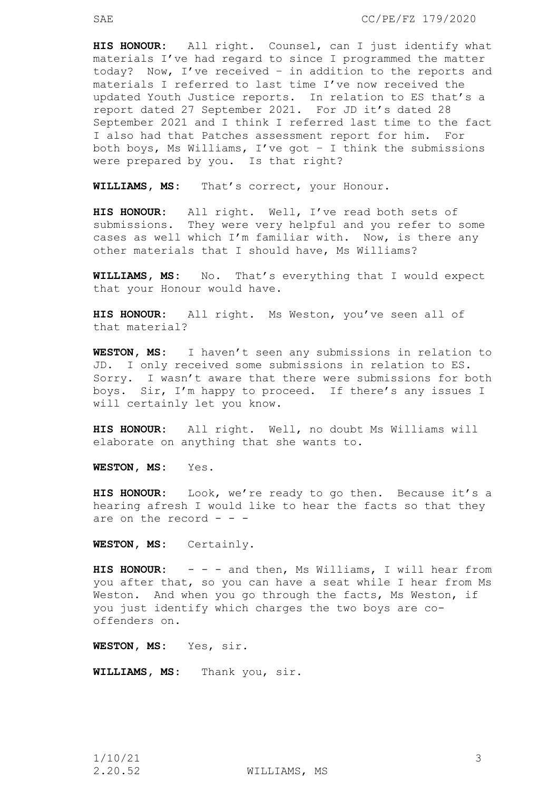**HIS HONOUR:** All right. Counsel, can I just identify what materials I've had regard to since I programmed the matter today? Now, I've received – in addition to the reports and materials I referred to last time I've now received the updated Youth Justice reports. In relation to ES that's a report dated 27 September 2021. For JD it's dated 28 September 2021 and I think I referred last time to the fact I also had that Patches assessment report for him. For both boys, Ms Williams, I've got – I think the submissions were prepared by you. Is that right?

**WILLIAMS, MS:** That's correct, your Honour.

**HIS HONOUR:** All right. Well, I've read both sets of submissions. They were very helpful and you refer to some cases as well which I'm familiar with. Now, is there any other materials that I should have, Ms Williams?

**WILLIAMS, MS:** No. That's everything that I would expect that your Honour would have.

**HIS HONOUR:** All right. Ms Weston, you've seen all of that material?

**WESTON, MS:** I haven't seen any submissions in relation to JD. I only received some submissions in relation to ES. Sorry. I wasn't aware that there were submissions for both boys. Sir, I'm happy to proceed. If there's any issues I will certainly let you know.

**HIS HONOUR:** All right. Well, no doubt Ms Williams will elaborate on anything that she wants to.

**WESTON, MS:** Yes.

**HIS HONOUR:** Look, we're ready to go then. Because it's a hearing afresh I would like to hear the facts so that they are on the record  $-$ 

**WESTON, MS:** Certainly.

**HIS HONOUR:** - - - and then, Ms Williams, I will hear from you after that, so you can have a seat while I hear from Ms Weston. And when you go through the facts, Ms Weston, if you just identify which charges the two boys are cooffenders on.

**WESTON, MS:** Yes, sir.

**WILLIAMS, MS:** Thank you, sir.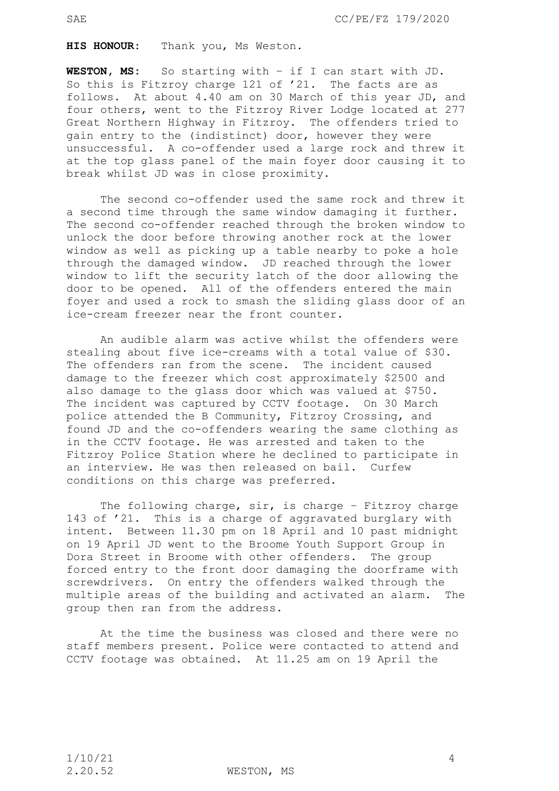**HIS HONOUR:** Thank you, Ms Weston.

**WESTON, MS:** So starting with – if I can start with JD. So this is Fitzroy charge 121 of '21. The facts are as follows. At about 4.40 am on 30 March of this year JD, and four others, went to the Fitzroy River Lodge located at 277 Great Northern Highway in Fitzroy. The offenders tried to gain entry to the (indistinct) door, however they were unsuccessful. A co-offender used a large rock and threw it at the top glass panel of the main foyer door causing it to break whilst JD was in close proximity.

The second co-offender used the same rock and threw it a second time through the same window damaging it further. The second co-offender reached through the broken window to unlock the door before throwing another rock at the lower window as well as picking up a table nearby to poke a hole through the damaged window. JD reached through the lower window to lift the security latch of the door allowing the door to be opened. All of the offenders entered the main foyer and used a rock to smash the sliding glass door of an ice-cream freezer near the front counter.

An audible alarm was active whilst the offenders were stealing about five ice-creams with a total value of \$30. The offenders ran from the scene. The incident caused damage to the freezer which cost approximately \$2500 and also damage to the glass door which was valued at \$750. The incident was captured by CCTV footage. On 30 March police attended the B Community, Fitzroy Crossing, and found JD and the co-offenders wearing the same clothing as in the CCTV footage. He was arrested and taken to the Fitzroy Police Station where he declined to participate in an interview. He was then released on bail. Curfew conditions on this charge was preferred.

The following charge, sir, is charge - Fitzroy charge 143 of '21. This is a charge of aggravated burglary with intent. Between 11.30 pm on 18 April and 10 past midnight on 19 April JD went to the Broome Youth Support Group in Dora Street in Broome with other offenders. The group forced entry to the front door damaging the doorframe with screwdrivers. On entry the offenders walked through the multiple areas of the building and activated an alarm. The group then ran from the address.

At the time the business was closed and there were no staff members present. Police were contacted to attend and CCTV footage was obtained. At 11.25 am on 19 April the

2.20.52 WESTON, MS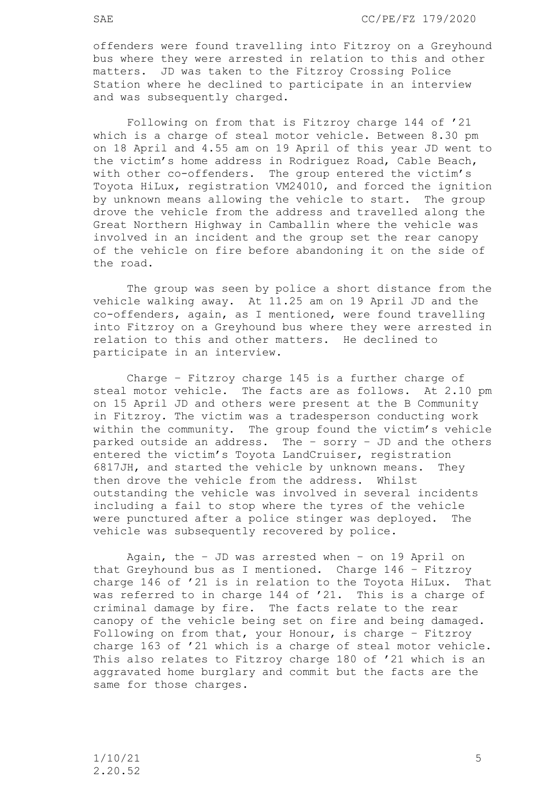offenders were found travelling into Fitzroy on a Greyhound bus where they were arrested in relation to this and other matters. JD was taken to the Fitzroy Crossing Police Station where he declined to participate in an interview and was subsequently charged.

 Following on from that is Fitzroy charge 144 of '21 which is a charge of steal motor vehicle. Between 8.30 pm on 18 April and 4.55 am on 19 April of this year JD went to the victim's home address in Rodriguez Road, Cable Beach, with other co-offenders. The group entered the victim's Toyota HiLux, registration VM24010, and forced the ignition by unknown means allowing the vehicle to start. The group drove the vehicle from the address and travelled along the Great Northern Highway in Camballin where the vehicle was involved in an incident and the group set the rear canopy of the vehicle on fire before abandoning it on the side of the road.

The group was seen by police a short distance from the vehicle walking away. At 11.25 am on 19 April JD and the co-offenders, again, as I mentioned, were found travelling into Fitzroy on a Greyhound bus where they were arrested in relation to this and other matters. He declined to participate in an interview.

 Charge – Fitzroy charge 145 is a further charge of steal motor vehicle. The facts are as follows. At 2.10 pm on 15 April JD and others were present at the B Community in Fitzroy. The victim was a tradesperson conducting work within the community. The group found the victim's vehicle parked outside an address. The – sorry – JD and the others entered the victim's Toyota LandCruiser, registration 6817JH, and started the vehicle by unknown means. They then drove the vehicle from the address. Whilst outstanding the vehicle was involved in several incidents including a fail to stop where the tyres of the vehicle were punctured after a police stinger was deployed. The vehicle was subsequently recovered by police.

Again, the – JD was arrested when – on 19 April on that Greyhound bus as I mentioned. Charge 146 – Fitzroy charge 146 of '21 is in relation to the Toyota HiLux. That was referred to in charge 144 of '21. This is a charge of criminal damage by fire. The facts relate to the rear canopy of the vehicle being set on fire and being damaged. Following on from that, your Honour, is charge – Fitzroy charge 163 of '21 which is a charge of steal motor vehicle. This also relates to Fitzroy charge 180 of '21 which is an aggravated home burglary and commit but the facts are the same for those charges.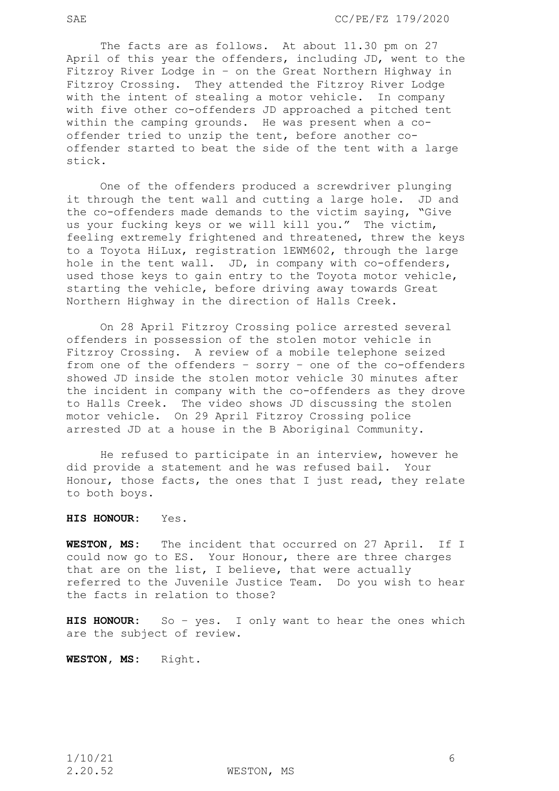The facts are as follows. At about 11.30 pm on 27 April of this year the offenders, including JD, went to the Fitzroy River Lodge in – on the Great Northern Highway in Fitzroy Crossing. They attended the Fitzroy River Lodge with the intent of stealing a motor vehicle. In company with five other co-offenders JD approached a pitched tent within the camping grounds. He was present when a cooffender tried to unzip the tent, before another cooffender started to beat the side of the tent with a large stick.

One of the offenders produced a screwdriver plunging it through the tent wall and cutting a large hole. JD and the co-offenders made demands to the victim saying, "Give us your fucking keys or we will kill you." The victim, feeling extremely frightened and threatened, threw the keys to a Toyota HiLux, registration 1EWM602, through the large hole in the tent wall. JD, in company with co-offenders, used those keys to gain entry to the Toyota motor vehicle, starting the vehicle, before driving away towards Great Northern Highway in the direction of Halls Creek.

On 28 April Fitzroy Crossing police arrested several offenders in possession of the stolen motor vehicle in Fitzroy Crossing. A review of a mobile telephone seized from one of the offenders – sorry – one of the co-offenders showed JD inside the stolen motor vehicle 30 minutes after the incident in company with the co-offenders as they drove to Halls Creek. The video shows JD discussing the stolen motor vehicle. On 29 April Fitzroy Crossing police arrested JD at a house in the B Aboriginal Community.

He refused to participate in an interview, however he did provide a statement and he was refused bail. Your Honour, those facts, the ones that I just read, they relate to both boys.

# **HIS HONOUR:** Yes.

**WESTON, MS:** The incident that occurred on 27 April. If I could now go to ES. Your Honour, there are three charges that are on the list, I believe, that were actually referred to the Juvenile Justice Team. Do you wish to hear the facts in relation to those?

**HIS HONOUR:** So – yes. I only want to hear the ones which are the subject of review.

**WESTON, MS:** Right.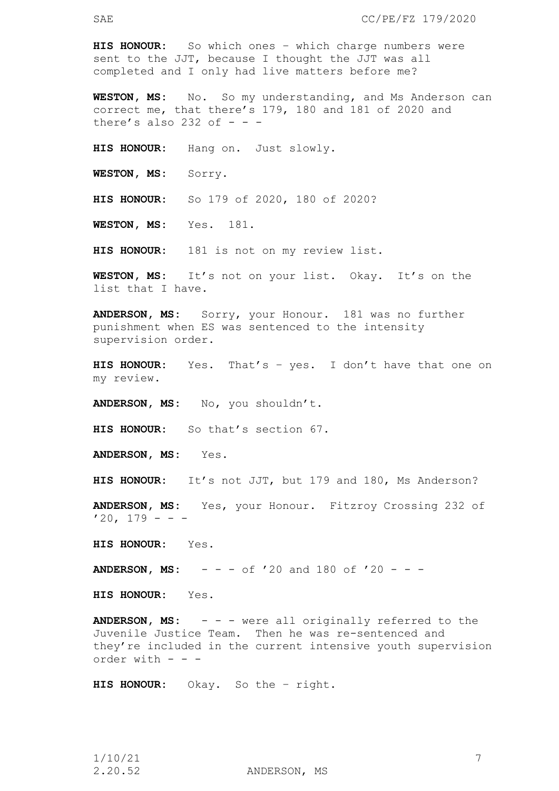**HIS HONOUR:** So which ones – which charge numbers were sent to the JJT, because I thought the JJT was all completed and I only had live matters before me?

**WESTON, MS:** No. So my understanding, and Ms Anderson can correct me, that there's 179, 180 and 181 of 2020 and there's also 232 of  $-$  -

**HIS HONOUR:** Hang on. Just slowly.

**WESTON, MS:** Sorry.

**HIS HONOUR:** So 179 of 2020, 180 of 2020?

**WESTON, MS:** Yes. 181.

**HIS HONOUR:** 181 is not on my review list.

**WESTON, MS:** It's not on your list. Okay. It's on the list that I have.

**ANDERSON, MS:** Sorry, your Honour. 181 was no further punishment when ES was sentenced to the intensity supervision order.

**HIS HONOUR:** Yes. That's – yes. I don't have that one on my review.

**ANDERSON, MS:** No, you shouldn't.

**HIS HONOUR:** So that's section 67.

**ANDERSON, MS:** Yes.

**HIS HONOUR:** It's not JJT, but 179 and 180, Ms Anderson?

**ANDERSON, MS:** Yes, your Honour. Fitzroy Crossing 232 of  $'20, 179 - -$ 

**HIS HONOUR:** Yes.

**ANDERSON, MS:** - - - of '20 and 180 of '20 - - -

**HIS HONOUR:** Yes.

**ANDERSON, MS:** - - - were all originally referred to the Juvenile Justice Team. Then he was re-sentenced and they're included in the current intensive youth supervision order with - - -

**HIS HONOUR:** Okay. So the – right.

2.20.52 ANDERSON, MS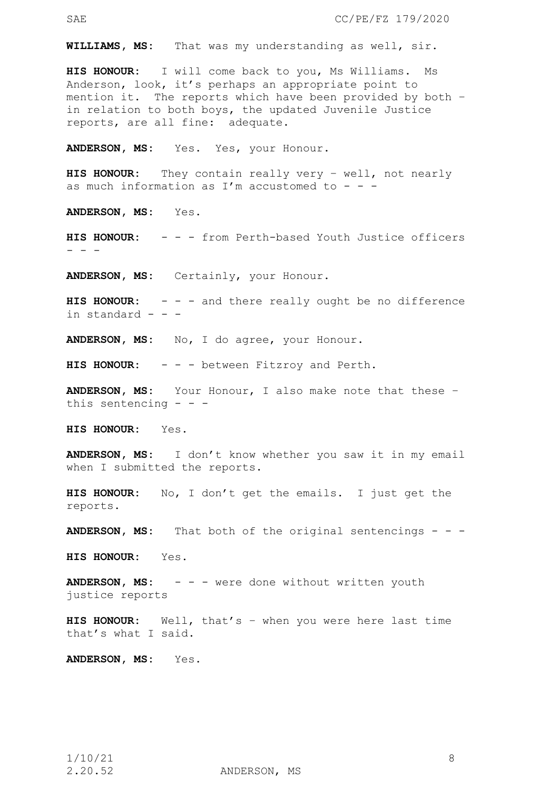**WILLIAMS, MS:** That was my understanding as well, sir.

**HIS HONOUR:** I will come back to you, Ms Williams. Ms Anderson, look, it's perhaps an appropriate point to mention it. The reports which have been provided by both – in relation to both boys, the updated Juvenile Justice reports, are all fine: adequate.

**ANDERSON, MS:** Yes. Yes, your Honour.

**HIS HONOUR:** They contain really very – well, not nearly as much information as I'm accustomed to  $-$  -

**ANDERSON, MS:** Yes.

**HIS HONOUR:** - - - from Perth-based Youth Justice officers - - -

**ANDERSON, MS:** Certainly, your Honour.

**HIS HONOUR:** - - - and there really ought be no difference in standard  $-$ 

**ANDERSON, MS:** No, I do agree, your Honour.

**HIS HONOUR:** - - - between Fitzroy and Perth.

**ANDERSON, MS:** Your Honour, I also make note that these – this sentencing  $-$ 

**HIS HONOUR:** Yes.

**ANDERSON, MS:** I don't know whether you saw it in my email when I submitted the reports.

**HIS HONOUR:** No, I don't get the emails. I just get the reports.

**ANDERSON, MS:** That both of the original sentencings - - -

**HIS HONOUR:** Yes.

ANDERSON, MS: - - - were done without written youth justice reports

**HIS HONOUR:** Well, that's – when you were here last time that's what I said.

**ANDERSON, MS:** Yes.

2.20.52 ANDERSON, MS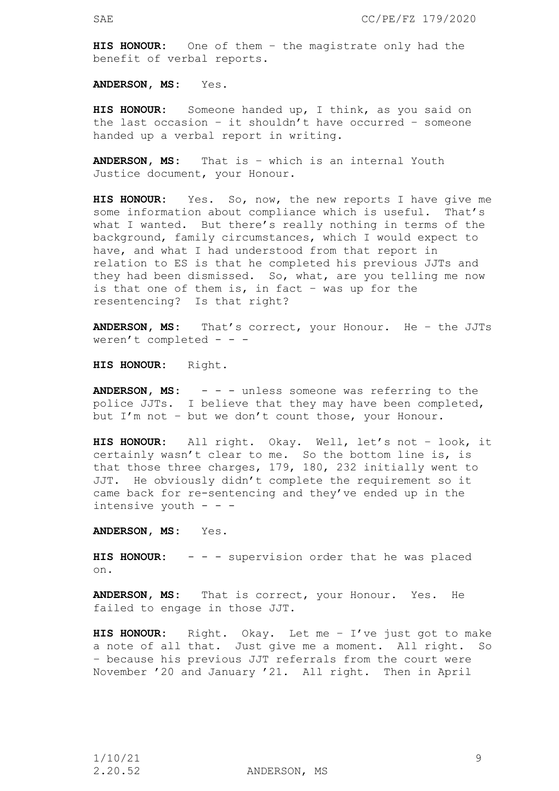**HIS HONOUR:** One of them – the magistrate only had the benefit of verbal reports.

**ANDERSON, MS:** Yes.

**HIS HONOUR:** Someone handed up, I think, as you said on the last occasion – it shouldn't have occurred – someone handed up a verbal report in writing.

**ANDERSON, MS:** That is – which is an internal Youth Justice document, your Honour.

**HIS HONOUR:** Yes. So, now, the new reports I have give me some information about compliance which is useful. That's what I wanted. But there's really nothing in terms of the background, family circumstances, which I would expect to have, and what I had understood from that report in relation to ES is that he completed his previous JJTs and they had been dismissed. So, what, are you telling me now is that one of them is, in fact  $-$  was up for the resentencing? Is that right?

**ANDERSON, MS:** That's correct, your Honour. He – the JJTs weren't completed - - -

**HIS HONOUR:** Right.

**ANDERSON, MS:** - - - unless someone was referring to the police JJTs. I believe that they may have been completed, but I'm not – but we don't count those, your Honour.

**HIS HONOUR:** All right. Okay. Well, let's not – look, it certainly wasn't clear to me. So the bottom line is, is that those three charges, 179, 180, 232 initially went to JJT. He obviously didn't complete the requirement so it came back for re-sentencing and they've ended up in the intensive youth - - -

**ANDERSON, MS:** Yes.

**HIS HONOUR:** - - - supervision order that he was placed on.

**ANDERSON, MS:** That is correct, your Honour. Yes. He failed to engage in those JJT.

**HIS HONOUR:** Right. Okay. Let me – I've just got to make a note of all that. Just give me a moment. All right. So – because his previous JJT referrals from the court were November '20 and January '21. All right. Then in April

2.20.52 ANDERSON, MS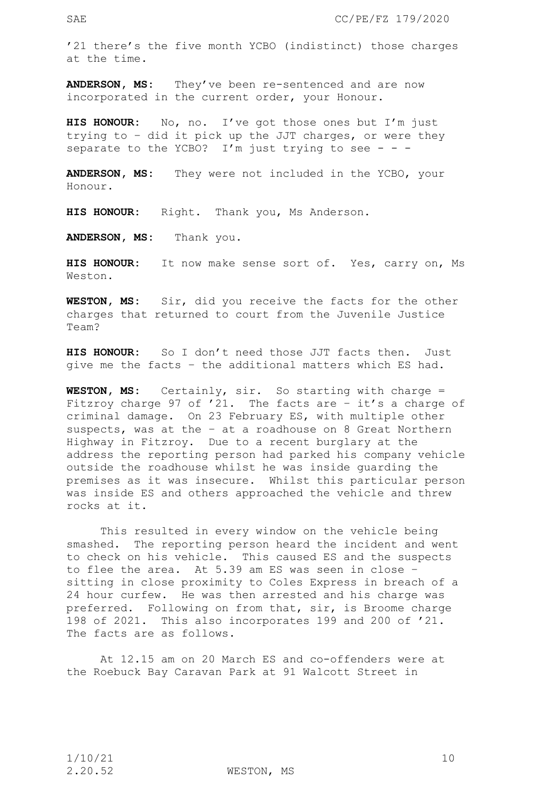'21 there's the five month YCBO (indistinct) those charges at the time.

**ANDERSON, MS:** They've been re-sentenced and are now incorporated in the current order, your Honour.

**HIS HONOUR:** No, no. I've got those ones but I'm just trying to – did it pick up the JJT charges, or were they separate to the YCBO? I'm just trying to see - - -

**ANDERSON, MS:** They were not included in the YCBO, your Honour.

**HIS HONOUR:** Right. Thank you, Ms Anderson.

**ANDERSON, MS:** Thank you.

**HIS HONOUR:** It now make sense sort of. Yes, carry on, Ms Weston.

**WESTON, MS:** Sir, did you receive the facts for the other charges that returned to court from the Juvenile Justice Team?

**HIS HONOUR:** So I don't need those JJT facts then. Just give me the facts – the additional matters which ES had.

**WESTON, MS:** Certainly, sir. So starting with charge = Fitzroy charge 97 of '21. The facts are – it's a charge of criminal damage. On 23 February ES, with multiple other suspects, was at the – at a roadhouse on 8 Great Northern Highway in Fitzroy. Due to a recent burglary at the address the reporting person had parked his company vehicle outside the roadhouse whilst he was inside guarding the premises as it was insecure. Whilst this particular person was inside ES and others approached the vehicle and threw rocks at it.

This resulted in every window on the vehicle being smashed. The reporting person heard the incident and went to check on his vehicle. This caused ES and the suspects to flee the area. At 5.39 am ES was seen in close – sitting in close proximity to Coles Express in breach of a 24 hour curfew. He was then arrested and his charge was preferred. Following on from that, sir, is Broome charge 198 of 2021. This also incorporates 199 and 200 of '21. The facts are as follows.

At 12.15 am on 20 March ES and co-offenders were at the Roebuck Bay Caravan Park at 91 Walcott Street in

2.20.52 WESTON, MS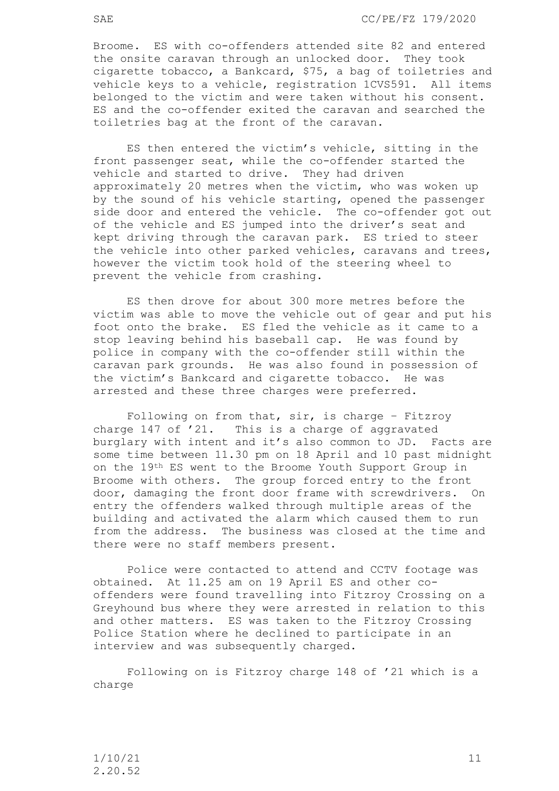SAE CC/PE/FZ 179/2020

Broome. ES with co-offenders attended site 82 and entered the onsite caravan through an unlocked door. They took cigarette tobacco, a Bankcard, \$75, a bag of toiletries and vehicle keys to a vehicle, registration 1CVS591. All items belonged to the victim and were taken without his consent. ES and the co-offender exited the caravan and searched the toiletries bag at the front of the caravan.

ES then entered the victim's vehicle, sitting in the front passenger seat, while the co-offender started the vehicle and started to drive. They had driven approximately 20 metres when the victim, who was woken up by the sound of his vehicle starting, opened the passenger side door and entered the vehicle. The co-offender got out of the vehicle and ES jumped into the driver's seat and kept driving through the caravan park. ES tried to steer the vehicle into other parked vehicles, caravans and trees, however the victim took hold of the steering wheel to prevent the vehicle from crashing.

ES then drove for about 300 more metres before the victim was able to move the vehicle out of gear and put his foot onto the brake. ES fled the vehicle as it came to a stop leaving behind his baseball cap. He was found by police in company with the co-offender still within the caravan park grounds. He was also found in possession of the victim's Bankcard and cigarette tobacco. He was arrested and these three charges were preferred.

 Following on from that, sir, is charge – Fitzroy charge 147 of '21. This is a charge of aggravated burglary with intent and it's also common to JD. Facts are some time between 11.30 pm on 18 April and 10 past midnight on the 19th ES went to the Broome Youth Support Group in Broome with others. The group forced entry to the front door, damaging the front door frame with screwdrivers. On entry the offenders walked through multiple areas of the building and activated the alarm which caused them to run from the address. The business was closed at the time and there were no staff members present.

Police were contacted to attend and CCTV footage was obtained. At 11.25 am on 19 April ES and other cooffenders were found travelling into Fitzroy Crossing on a Greyhound bus where they were arrested in relation to this and other matters. ES was taken to the Fitzroy Crossing Police Station where he declined to participate in an interview and was subsequently charged.

 Following on is Fitzroy charge 148 of '21 which is a charge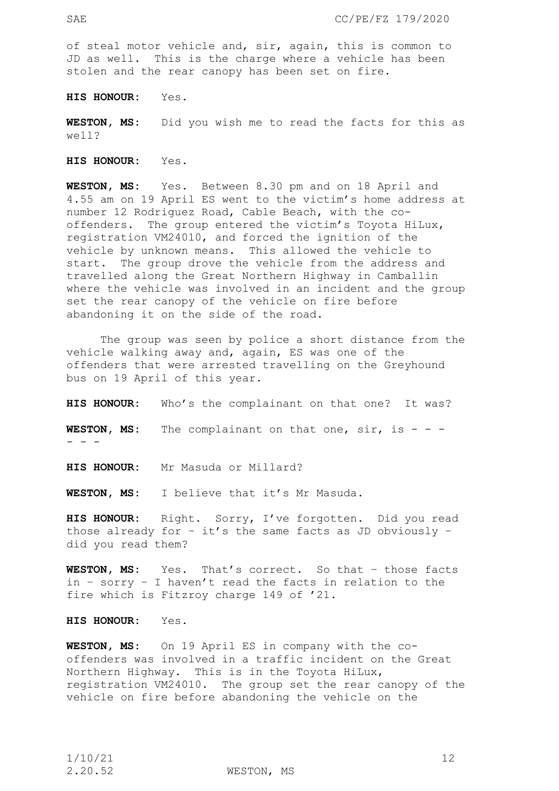of steal motor vehicle and, sir, again, this is common to JD as well. This is the charge where a vehicle has been stolen and the rear canopy has been set on fire.

**HIS HONOUR:** Yes.

**WESTON, MS:** Did you wish me to read the facts for this as well?

**HIS HONOUR:** Yes.

**WESTON, MS:** Yes. Between 8.30 pm and on 18 April and 4.55 am on 19 April ES went to the victim's home address at number 12 Rodriguez Road, Cable Beach, with the cooffenders. The group entered the victim's Toyota HiLux, registration VM24010, and forced the ignition of the vehicle by unknown means. This allowed the vehicle to start. The group drove the vehicle from the address and travelled along the Great Northern Highway in Camballin where the vehicle was involved in an incident and the group set the rear canopy of the vehicle on fire before abandoning it on the side of the road.

The group was seen by police a short distance from the vehicle walking away and, again, ES was one of the offenders that were arrested travelling on the Greyhound bus on 19 April of this year.

**HIS HONOUR:** Who's the complainant on that one? It was?

**WESTON, MS:** The complainant on that one, sir, is - - - - - -

**HIS HONOUR:** Mr Masuda or Millard?

**WESTON, MS:** I believe that it's Mr Masuda.

**HIS HONOUR:** Right. Sorry, I've forgotten. Did you read those already for  $-$  it's the same facts as JD obviously  $$ did you read them?

**WESTON, MS:** Yes. That's correct. So that – those facts in – sorry – I haven't read the facts in relation to the fire which is Fitzroy charge 149 of '21.

**HIS HONOUR:** Yes.

**WESTON, MS:** On 19 April ES in company with the cooffenders was involved in a traffic incident on the Great Northern Highway. This is in the Toyota HiLux, registration VM24010. The group set the rear canopy of the vehicle on fire before abandoning the vehicle on the

2.20.52 WESTON, MS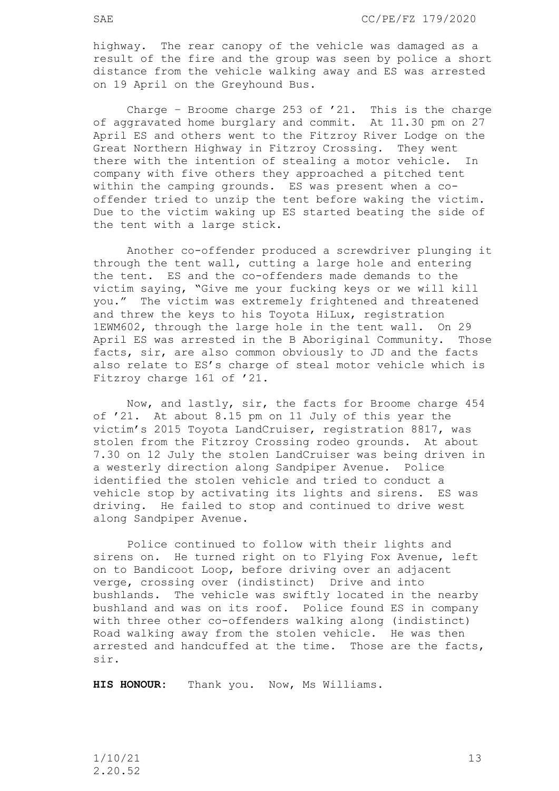highway. The rear canopy of the vehicle was damaged as a result of the fire and the group was seen by police a short distance from the vehicle walking away and ES was arrested on 19 April on the Greyhound Bus.

Charge – Broome charge 253 of '21. This is the charge of aggravated home burglary and commit. At 11.30 pm on 27 April ES and others went to the Fitzroy River Lodge on the Great Northern Highway in Fitzroy Crossing. They went there with the intention of stealing a motor vehicle. In company with five others they approached a pitched tent within the camping grounds. ES was present when a cooffender tried to unzip the tent before waking the victim. Due to the victim waking up ES started beating the side of the tent with a large stick.

Another co-offender produced a screwdriver plunging it through the tent wall, cutting a large hole and entering the tent. ES and the co-offenders made demands to the victim saying, "Give me your fucking keys or we will kill you." The victim was extremely frightened and threatened and threw the keys to his Toyota HiLux, registration 1EWM602, through the large hole in the tent wall. On 29 April ES was arrested in the B Aboriginal Community. Those facts, sir, are also common obviously to JD and the facts also relate to ES's charge of steal motor vehicle which is Fitzroy charge 161 of '21.

Now, and lastly, sir, the facts for Broome charge 454 of '21. At about 8.15 pm on 11 July of this year the victim's 2015 Toyota LandCruiser, registration 8817, was stolen from the Fitzroy Crossing rodeo grounds. At about 7.30 on 12 July the stolen LandCruiser was being driven in a westerly direction along Sandpiper Avenue. Police identified the stolen vehicle and tried to conduct a vehicle stop by activating its lights and sirens. ES was driving. He failed to stop and continued to drive west along Sandpiper Avenue.

Police continued to follow with their lights and sirens on. He turned right on to Flying Fox Avenue, left on to Bandicoot Loop, before driving over an adjacent verge, crossing over (indistinct) Drive and into bushlands. The vehicle was swiftly located in the nearby bushland and was on its roof. Police found ES in company with three other co-offenders walking along (indistinct) Road walking away from the stolen vehicle. He was then arrested and handcuffed at the time. Those are the facts, sir.

**HIS HONOUR:** Thank you. Now, Ms Williams.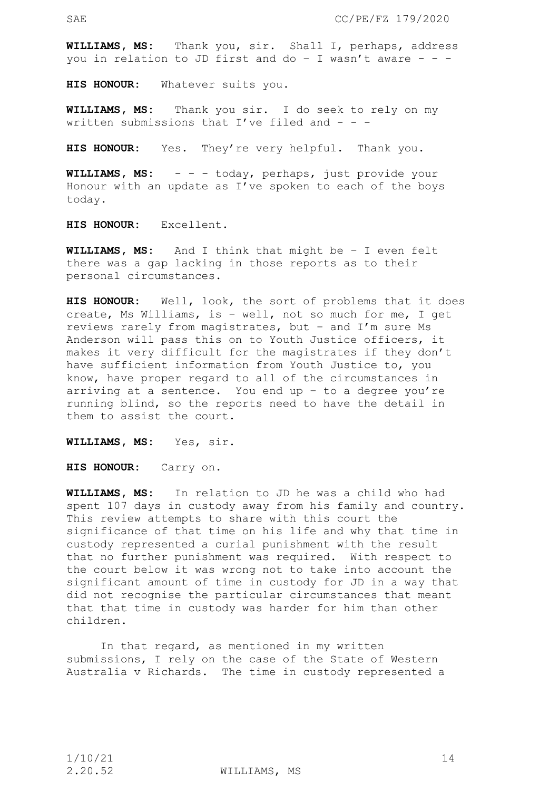**WILLIAMS, MS:** Thank you, sir. Shall I, perhaps, address you in relation to JD first and do - I wasn't aware - - -

**HIS HONOUR:** Whatever suits you.

**WILLIAMS, MS:** Thank you sir. I do seek to rely on my written submissions that I've filed and  $-$ 

**HIS HONOUR:** Yes. They're very helpful. Thank you.

**WILLIAMS, MS:** - - - today, perhaps, just provide your Honour with an update as I've spoken to each of the boys today.

**HIS HONOUR:** Excellent.

**WILLIAMS, MS:** And I think that might be – I even felt there was a gap lacking in those reports as to their personal circumstances.

**HIS HONOUR:** Well, look, the sort of problems that it does create, Ms Williams, is – well, not so much for me, I get reviews rarely from magistrates, but – and I'm sure Ms Anderson will pass this on to Youth Justice officers, it makes it very difficult for the magistrates if they don't have sufficient information from Youth Justice to, you know, have proper regard to all of the circumstances in arriving at a sentence. You end up – to a degree you're running blind, so the reports need to have the detail in them to assist the court.

**WILLIAMS, MS:** Yes, sir.

**HIS HONOUR:** Carry on.

**WILLIAMS, MS:** In relation to JD he was a child who had spent 107 days in custody away from his family and country. This review attempts to share with this court the significance of that time on his life and why that time in custody represented a curial punishment with the result that no further punishment was required. With respect to the court below it was wrong not to take into account the significant amount of time in custody for JD in a way that did not recognise the particular circumstances that meant that that time in custody was harder for him than other children.

In that regard, as mentioned in my written submissions, I rely on the case of the State of Western Australia v Richards. The time in custody represented a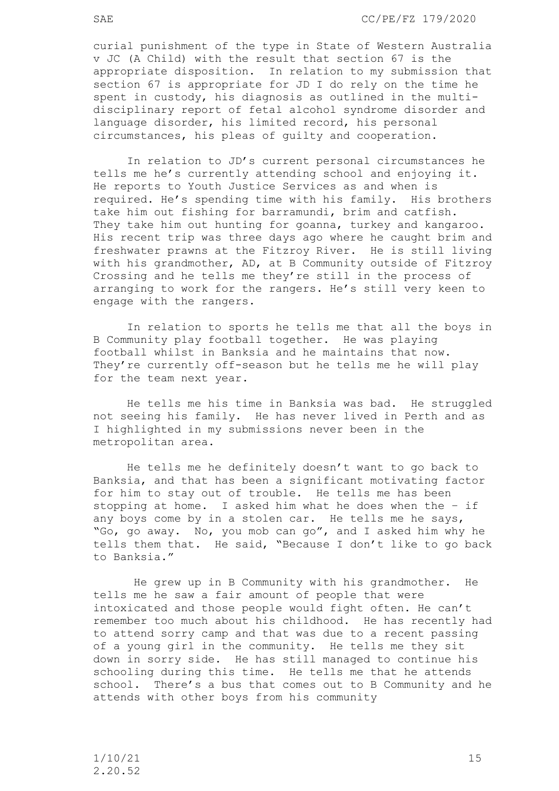curial punishment of the type in State of Western Australia v JC (A Child) with the result that section 67 is the appropriate disposition. In relation to my submission that section 67 is appropriate for JD I do rely on the time he spent in custody, his diagnosis as outlined in the multidisciplinary report of fetal alcohol syndrome disorder and language disorder, his limited record, his personal circumstances, his pleas of guilty and cooperation.

In relation to JD's current personal circumstances he tells me he's currently attending school and enjoying it. He reports to Youth Justice Services as and when is required. He's spending time with his family. His brothers take him out fishing for barramundi, brim and catfish. They take him out hunting for goanna, turkey and kangaroo. His recent trip was three days ago where he caught brim and freshwater prawns at the Fitzroy River. He is still living with his grandmother, AD, at B Community outside of Fitzroy Crossing and he tells me they're still in the process of arranging to work for the rangers. He's still very keen to engage with the rangers.

In relation to sports he tells me that all the boys in B Community play football together. He was playing football whilst in Banksia and he maintains that now. They're currently off-season but he tells me he will play for the team next year.

 He tells me his time in Banksia was bad. He struggled not seeing his family. He has never lived in Perth and as I highlighted in my submissions never been in the metropolitan area.

He tells me he definitely doesn't want to go back to Banksia, and that has been a significant motivating factor for him to stay out of trouble. He tells me has been stopping at home. I asked him what he does when the – if any boys come by in a stolen car. He tells me he says, "Go, go away. No, you mob can go", and I asked him why he tells them that. He said, "Because I don't like to go back to Banksia."

 He grew up in B Community with his grandmother. He tells me he saw a fair amount of people that were intoxicated and those people would fight often. He can't remember too much about his childhood. He has recently had to attend sorry camp and that was due to a recent passing of a young girl in the community. He tells me they sit down in sorry side. He has still managed to continue his schooling during this time. He tells me that he attends school. There's a bus that comes out to B Community and he attends with other boys from his community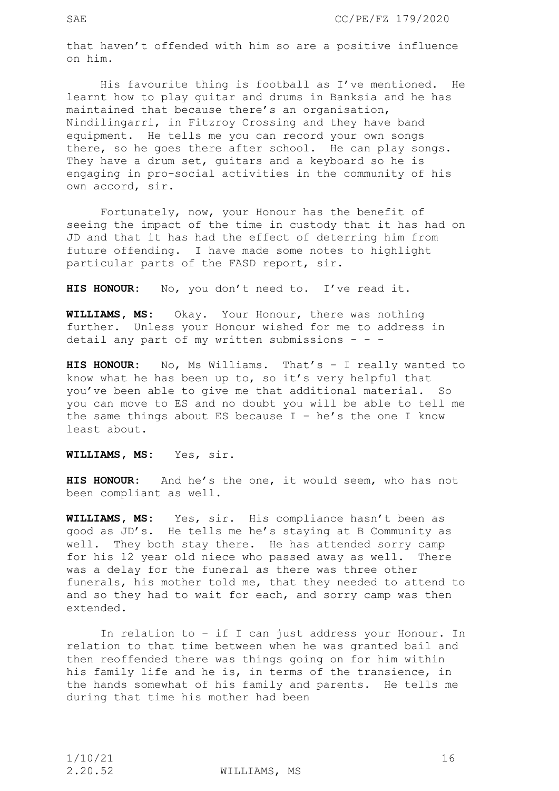that haven't offended with him so are a positive influence on him.

His favourite thing is football as I've mentioned. He learnt how to play guitar and drums in Banksia and he has maintained that because there's an organisation, Nindilingarri, in Fitzroy Crossing and they have band equipment. He tells me you can record your own songs there, so he goes there after school. He can play songs. They have a drum set, guitars and a keyboard so he is engaging in pro-social activities in the community of his own accord, sir.

 Fortunately, now, your Honour has the benefit of seeing the impact of the time in custody that it has had on JD and that it has had the effect of deterring him from future offending. I have made some notes to highlight particular parts of the FASD report, sir.

**HIS HONOUR:** No, you don't need to. I've read it.

**WILLIAMS, MS:** Okay. Your Honour, there was nothing further. Unless your Honour wished for me to address in detail any part of my written submissions  $- -$ 

**HIS HONOUR:** No, Ms Williams. That's – I really wanted to know what he has been up to, so it's very helpful that you've been able to give me that additional material. So you can move to ES and no doubt you will be able to tell me the same things about ES because  $I - he's$  the one I know least about.

## **WILLIAMS, MS:** Yes, sir.

**HIS HONOUR:** And he's the one, it would seem, who has not been compliant as well.

**WILLIAMS, MS:** Yes, sir. His compliance hasn't been as good as JD's. He tells me he's staying at B Community as well. They both stay there. He has attended sorry camp for his 12 year old niece who passed away as well. There was a delay for the funeral as there was three other funerals, his mother told me, that they needed to attend to and so they had to wait for each, and sorry camp was then extended.

 In relation to – if I can just address your Honour. In relation to that time between when he was granted bail and then reoffended there was things going on for him within his family life and he is, in terms of the transience, in the hands somewhat of his family and parents. He tells me during that time his mother had been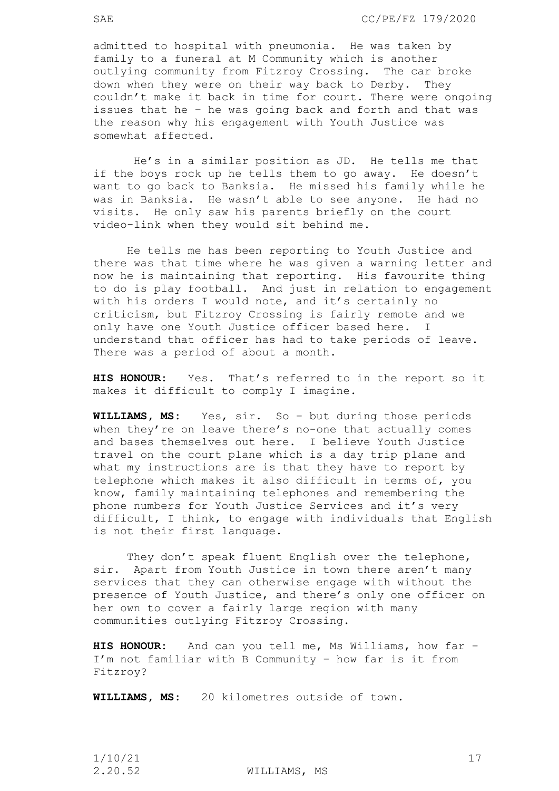admitted to hospital with pneumonia. He was taken by family to a funeral at M Community which is another outlying community from Fitzroy Crossing. The car broke down when they were on their way back to Derby. They couldn't make it back in time for court. There were ongoing issues that he – he was going back and forth and that was the reason why his engagement with Youth Justice was somewhat affected.

 He's in a similar position as JD. He tells me that if the boys rock up he tells them to go away. He doesn't want to go back to Banksia. He missed his family while he was in Banksia. He wasn't able to see anyone. He had no visits. He only saw his parents briefly on the court video-link when they would sit behind me.

He tells me has been reporting to Youth Justice and there was that time where he was given a warning letter and now he is maintaining that reporting. His favourite thing to do is play football. And just in relation to engagement with his orders I would note, and it's certainly no criticism, but Fitzroy Crossing is fairly remote and we only have one Youth Justice officer based here. I understand that officer has had to take periods of leave. There was a period of about a month.

**HIS HONOUR:** Yes. That's referred to in the report so it makes it difficult to comply I imagine.

**WILLIAMS, MS:** Yes, sir. So – but during those periods when they're on leave there's no-one that actually comes and bases themselves out here. I believe Youth Justice travel on the court plane which is a day trip plane and what my instructions are is that they have to report by telephone which makes it also difficult in terms of, you know, family maintaining telephones and remembering the phone numbers for Youth Justice Services and it's very difficult, I think, to engage with individuals that English is not their first language.

They don't speak fluent English over the telephone, sir. Apart from Youth Justice in town there aren't many services that they can otherwise engage with without the presence of Youth Justice, and there's only one officer on her own to cover a fairly large region with many communities outlying Fitzroy Crossing.

**HIS HONOUR:** And can you tell me, Ms Williams, how far – I'm not familiar with B Community – how far is it from Fitzroy?

**WILLIAMS, MS:** 20 kilometres outside of town.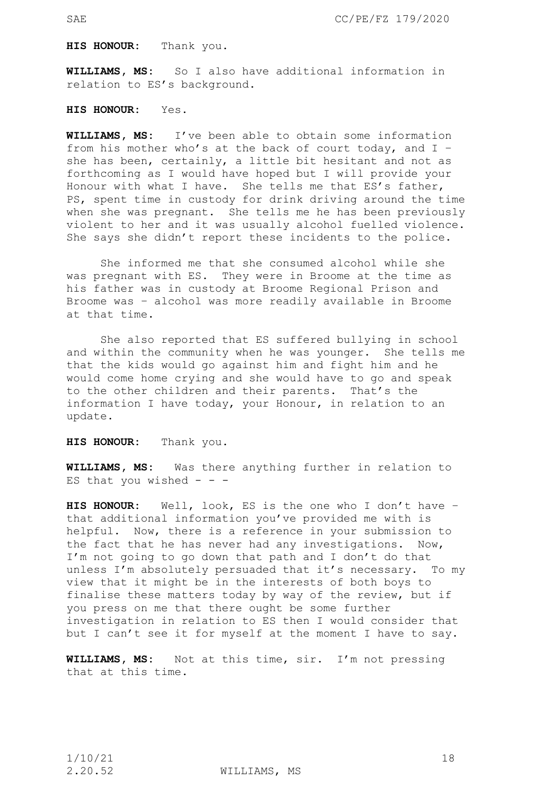**HIS HONOUR:** Thank you.

**WILLIAMS, MS:** So I also have additional information in relation to ES's background.

**HIS HONOUR:** Yes.

**WILLIAMS, MS:** I've been able to obtain some information from his mother who's at the back of court today, and I – she has been, certainly, a little bit hesitant and not as forthcoming as I would have hoped but I will provide your Honour with what I have. She tells me that ES's father, PS, spent time in custody for drink driving around the time when she was pregnant. She tells me he has been previously violent to her and it was usually alcohol fuelled violence. She says she didn't report these incidents to the police.

She informed me that she consumed alcohol while she was pregnant with ES. They were in Broome at the time as his father was in custody at Broome Regional Prison and Broome was – alcohol was more readily available in Broome at that time.

 She also reported that ES suffered bullying in school and within the community when he was younger. She tells me that the kids would go against him and fight him and he would come home crying and she would have to go and speak to the other children and their parents. That's the information I have today, your Honour, in relation to an update.

**HIS HONOUR:** Thank you.

**WILLIAMS, MS:** Was there anything further in relation to ES that you wished  $-$  -  $-$ 

**HIS HONOUR:** Well, look, ES is the one who I don't have – that additional information you've provided me with is helpful. Now, there is a reference in your submission to the fact that he has never had any investigations. Now, I'm not going to go down that path and I don't do that unless I'm absolutely persuaded that it's necessary. To my view that it might be in the interests of both boys to finalise these matters today by way of the review, but if you press on me that there ought be some further investigation in relation to ES then I would consider that but I can't see it for myself at the moment I have to say.

**WILLIAMS, MS:** Not at this time, sir. I'm not pressing that at this time.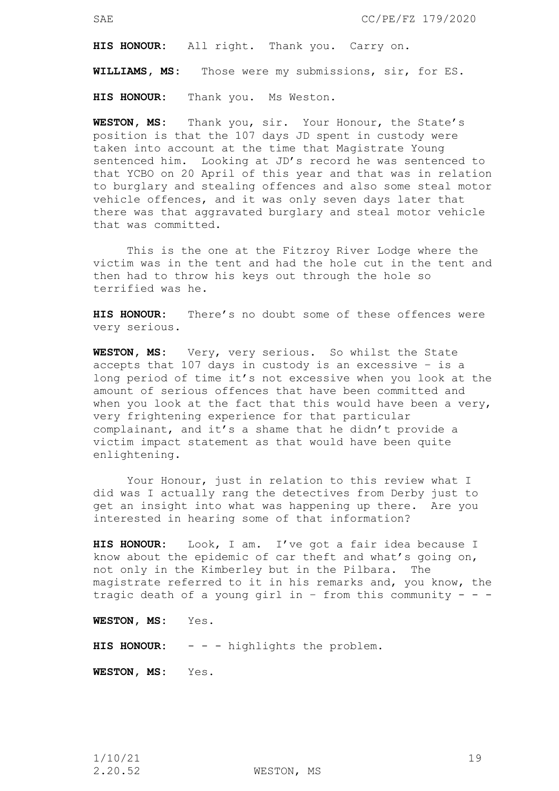**HIS HONOUR:** All right. Thank you. Carry on.

**WILLIAMS, MS:** Those were my submissions, sir, for ES.

**HIS HONOUR:** Thank you. Ms Weston.

**WESTON, MS:** Thank you, sir. Your Honour, the State's position is that the 107 days JD spent in custody were taken into account at the time that Magistrate Young sentenced him. Looking at JD's record he was sentenced to that YCBO on 20 April of this year and that was in relation to burglary and stealing offences and also some steal motor vehicle offences, and it was only seven days later that there was that aggravated burglary and steal motor vehicle that was committed.

This is the one at the Fitzroy River Lodge where the victim was in the tent and had the hole cut in the tent and then had to throw his keys out through the hole so terrified was he.

**HIS HONOUR:** There's no doubt some of these offences were very serious.

**WESTON, MS:** Very, very serious. So whilst the State accepts that 107 days in custody is an excessive – is a long period of time it's not excessive when you look at the amount of serious offences that have been committed and when you look at the fact that this would have been a very, very frightening experience for that particular complainant, and it's a shame that he didn't provide a victim impact statement as that would have been quite enlightening.

Your Honour, just in relation to this review what I did was I actually rang the detectives from Derby just to get an insight into what was happening up there. Are you interested in hearing some of that information?

**HIS HONOUR:** Look, I am. I've got a fair idea because I know about the epidemic of car theft and what's going on, not only in the Kimberley but in the Pilbara. The magistrate referred to it in his remarks and, you know, the tragic death of a young girl in - from this community - - -

**WESTON, MS:** Yes.

**HIS HONOUR:** - - - highlights the problem.

**WESTON, MS:** Yes.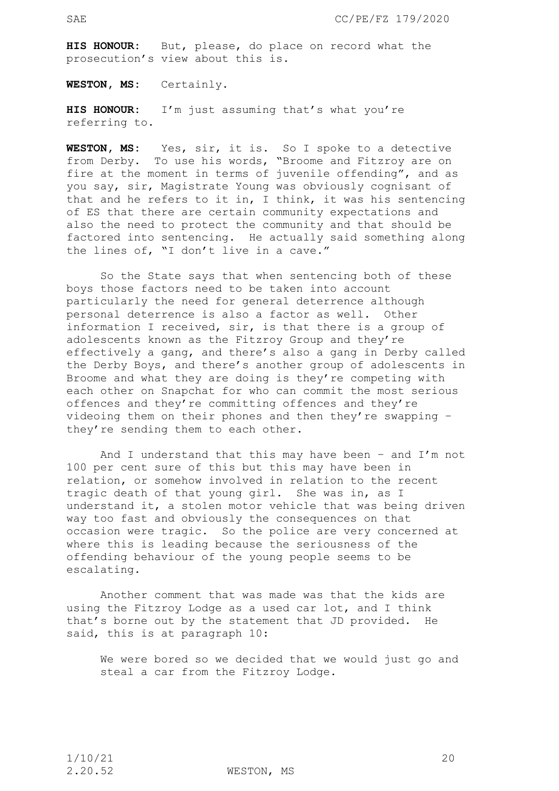**HIS HONOUR:** But, please, do place on record what the prosecution's view about this is.

**WESTON, MS:** Certainly.

**HIS HONOUR:** I'm just assuming that's what you're referring to.

**WESTON, MS:** Yes, sir, it is. So I spoke to a detective from Derby. To use his words, "Broome and Fitzroy are on fire at the moment in terms of juvenile offending", and as you say, sir, Magistrate Young was obviously cognisant of that and he refers to it in, I think, it was his sentencing of ES that there are certain community expectations and also the need to protect the community and that should be factored into sentencing. He actually said something along the lines of, "I don't live in a cave."

So the State says that when sentencing both of these boys those factors need to be taken into account particularly the need for general deterrence although personal deterrence is also a factor as well. Other information I received, sir, is that there is a group of adolescents known as the Fitzroy Group and they're effectively a gang, and there's also a gang in Derby called the Derby Boys, and there's another group of adolescents in Broome and what they are doing is they're competing with each other on Snapchat for who can commit the most serious offences and they're committing offences and they're videoing them on their phones and then they're swapping – they're sending them to each other.

And I understand that this may have been – and I'm not 100 per cent sure of this but this may have been in relation, or somehow involved in relation to the recent tragic death of that young girl. She was in, as I understand it, a stolen motor vehicle that was being driven way too fast and obviously the consequences on that occasion were tragic. So the police are very concerned at where this is leading because the seriousness of the offending behaviour of the young people seems to be escalating.

Another comment that was made was that the kids are using the Fitzroy Lodge as a used car lot, and I think that's borne out by the statement that JD provided. He said, this is at paragraph 10:

We were bored so we decided that we would just go and steal a car from the Fitzroy Lodge.

2.20.52 WESTON, MS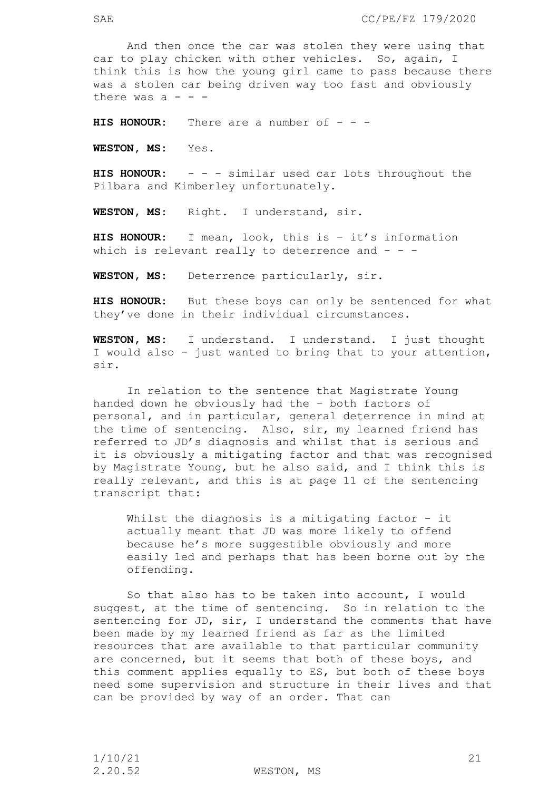SAE CC/PE/FZ 179/2020

 And then once the car was stolen they were using that car to play chicken with other vehicles. So, again, I think this is how the young girl came to pass because there was a stolen car being driven way too fast and obviously there was  $a - -$ 

**HIS HONOUR:** There are a number of - - -

**WESTON, MS:** Yes.

**HIS HONOUR:** - - - similar used car lots throughout the Pilbara and Kimberley unfortunately.

**WESTON, MS:** Right. I understand, sir.

**HIS HONOUR:** I mean, look, this is – it's information which is relevant really to deterrence and  $-$  -

**WESTON, MS:** Deterrence particularly, sir.

**HIS HONOUR:** But these boys can only be sentenced for what they've done in their individual circumstances.

**WESTON, MS:** I understand. I understand. I just thought I would also – just wanted to bring that to your attention, sir.

 In relation to the sentence that Magistrate Young handed down he obviously had the – both factors of personal, and in particular, general deterrence in mind at the time of sentencing. Also, sir, my learned friend has referred to JD's diagnosis and whilst that is serious and it is obviously a mitigating factor and that was recognised by Magistrate Young, but he also said, and I think this is really relevant, and this is at page 11 of the sentencing transcript that:

Whilst the diagnosis is a mitigating factor - it actually meant that JD was more likely to offend because he's more suggestible obviously and more easily led and perhaps that has been borne out by the offending.

 So that also has to be taken into account, I would suggest, at the time of sentencing. So in relation to the sentencing for JD, sir, I understand the comments that have been made by my learned friend as far as the limited resources that are available to that particular community are concerned, but it seems that both of these boys, and this comment applies equally to ES, but both of these boys need some supervision and structure in their lives and that can be provided by way of an order. That can

2.20.52 WESTON, MS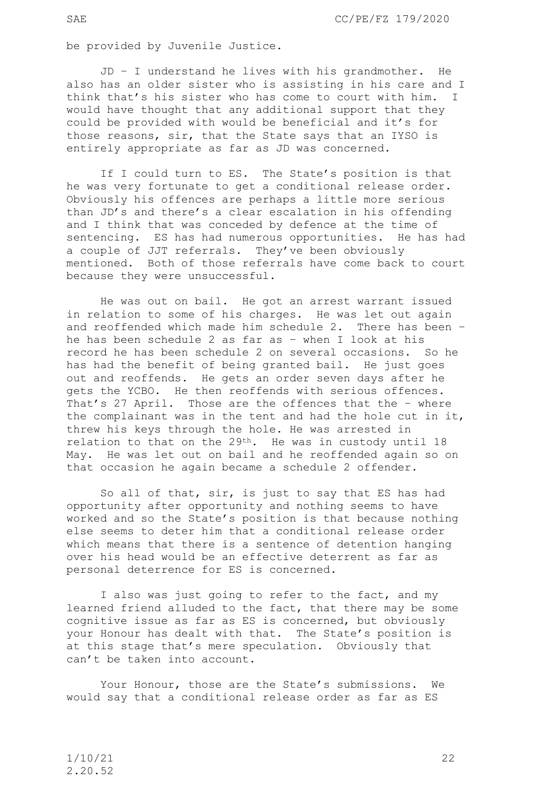be provided by Juvenile Justice.

 JD – I understand he lives with his grandmother. He also has an older sister who is assisting in his care and I think that's his sister who has come to court with him. I would have thought that any additional support that they could be provided with would be beneficial and it's for those reasons, sir, that the State says that an IYSO is entirely appropriate as far as JD was concerned.

If I could turn to ES. The State's position is that he was very fortunate to get a conditional release order. Obviously his offences are perhaps a little more serious than JD's and there's a clear escalation in his offending and I think that was conceded by defence at the time of sentencing. ES has had numerous opportunities. He has had a couple of JJT referrals. They've been obviously mentioned. Both of those referrals have come back to court because they were unsuccessful.

He was out on bail. He got an arrest warrant issued in relation to some of his charges. He was let out again and reoffended which made him schedule 2. There has been – he has been schedule 2 as far as – when I look at his record he has been schedule 2 on several occasions. So he has had the benefit of being granted bail. He just goes out and reoffends. He gets an order seven days after he gets the YCBO. He then reoffends with serious offences. That's 27 April. Those are the offences that the – where the complainant was in the tent and had the hole cut in it, threw his keys through the hole. He was arrested in relation to that on the 29th. He was in custody until 18 May. He was let out on bail and he reoffended again so on that occasion he again became a schedule 2 offender.

So all of that, sir, is just to say that ES has had opportunity after opportunity and nothing seems to have worked and so the State's position is that because nothing else seems to deter him that a conditional release order which means that there is a sentence of detention hanging over his head would be an effective deterrent as far as personal deterrence for ES is concerned.

I also was just going to refer to the fact, and my learned friend alluded to the fact, that there may be some cognitive issue as far as ES is concerned, but obviously your Honour has dealt with that. The State's position is at this stage that's mere speculation. Obviously that can't be taken into account.

 Your Honour, those are the State's submissions. We would say that a conditional release order as far as ES

1/10/21 22 2.20.52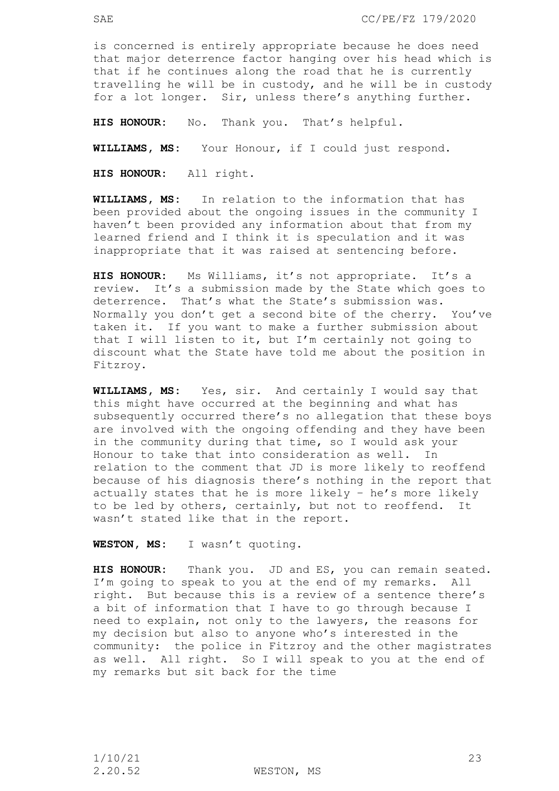is concerned is entirely appropriate because he does need that major deterrence factor hanging over his head which is that if he continues along the road that he is currently travelling he will be in custody, and he will be in custody for a lot longer. Sir, unless there's anything further.

**HIS HONOUR:** No. Thank you. That's helpful.

**WILLIAMS, MS:** Your Honour, if I could just respond.

**HIS HONOUR:** All right.

**WILLIAMS, MS:** In relation to the information that has been provided about the ongoing issues in the community I haven't been provided any information about that from my learned friend and I think it is speculation and it was inappropriate that it was raised at sentencing before.

**HIS HONOUR:** Ms Williams, it's not appropriate. It's a review. It's a submission made by the State which goes to deterrence. That's what the State's submission was. Normally you don't get a second bite of the cherry. You've taken it. If you want to make a further submission about that I will listen to it, but I'm certainly not going to discount what the State have told me about the position in Fitzroy.

**WILLIAMS, MS:** Yes, sir. And certainly I would say that this might have occurred at the beginning and what has subsequently occurred there's no allegation that these boys are involved with the ongoing offending and they have been in the community during that time, so I would ask your Honour to take that into consideration as well. In relation to the comment that JD is more likely to reoffend because of his diagnosis there's nothing in the report that actually states that he is more likely – he's more likely to be led by others, certainly, but not to reoffend. It wasn't stated like that in the report.

**WESTON, MS:** I wasn't quoting.

**HIS HONOUR:** Thank you. JD and ES, you can remain seated. I'm going to speak to you at the end of my remarks. All right. But because this is a review of a sentence there's a bit of information that I have to go through because I need to explain, not only to the lawyers, the reasons for my decision but also to anyone who's interested in the community: the police in Fitzroy and the other magistrates as well. All right. So I will speak to you at the end of my remarks but sit back for the time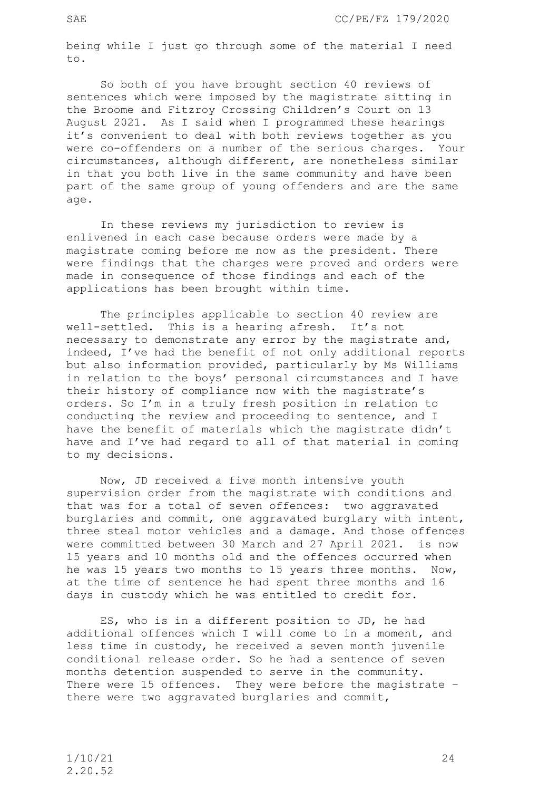being while I just go through some of the material I need to.

So both of you have brought section 40 reviews of sentences which were imposed by the magistrate sitting in the Broome and Fitzroy Crossing Children's Court on 13 August 2021. As I said when I programmed these hearings it's convenient to deal with both reviews together as you were co-offenders on a number of the serious charges. Your circumstances, although different, are nonetheless similar in that you both live in the same community and have been part of the same group of young offenders and are the same age.

 In these reviews my jurisdiction to review is enlivened in each case because orders were made by a magistrate coming before me now as the president. There were findings that the charges were proved and orders were made in consequence of those findings and each of the applications has been brought within time.

The principles applicable to section 40 review are well-settled. This is a hearing afresh. It's not necessary to demonstrate any error by the magistrate and, indeed, I've had the benefit of not only additional reports but also information provided, particularly by Ms Williams in relation to the boys' personal circumstances and I have their history of compliance now with the magistrate's orders. So I'm in a truly fresh position in relation to conducting the review and proceeding to sentence, and I have the benefit of materials which the magistrate didn't have and I've had regard to all of that material in coming to my decisions.

 Now, JD received a five month intensive youth supervision order from the magistrate with conditions and that was for a total of seven offences: two aggravated burglaries and commit, one aggravated burglary with intent, three steal motor vehicles and a damage. And those offences were committed between 30 March and 27 April 2021. is now 15 years and 10 months old and the offences occurred when he was 15 years two months to 15 years three months. Now, at the time of sentence he had spent three months and 16 days in custody which he was entitled to credit for.

 ES, who is in a different position to JD, he had additional offences which I will come to in a moment, and less time in custody, he received a seven month juvenile conditional release order. So he had a sentence of seven months detention suspended to serve in the community. There were 15 offences. They were before the magistrate there were two aggravated burglaries and commit,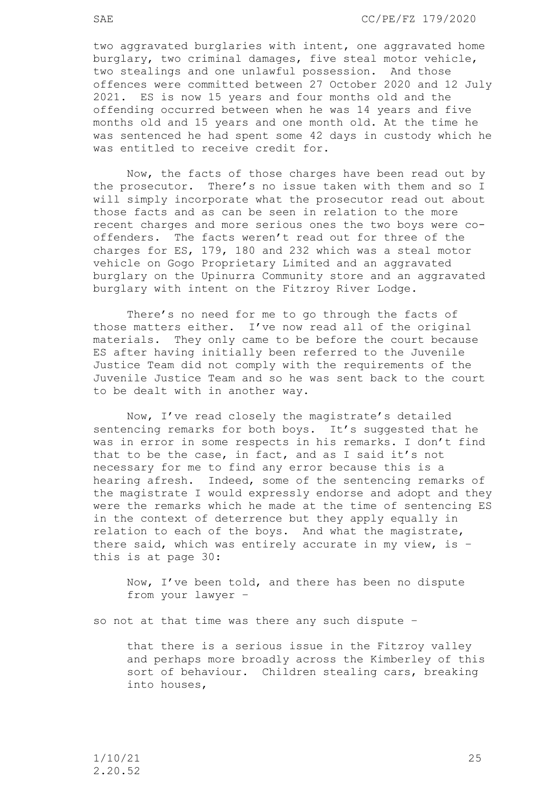two aggravated burglaries with intent, one aggravated home burglary, two criminal damages, five steal motor vehicle, two stealings and one unlawful possession. And those offences were committed between 27 October 2020 and 12 July 2021. ES is now 15 years and four months old and the offending occurred between when he was 14 years and five months old and 15 years and one month old. At the time he was sentenced he had spent some 42 days in custody which he was entitled to receive credit for.

 Now, the facts of those charges have been read out by the prosecutor. There's no issue taken with them and so I will simply incorporate what the prosecutor read out about those facts and as can be seen in relation to the more recent charges and more serious ones the two boys were cooffenders. The facts weren't read out for three of the charges for ES, 179, 180 and 232 which was a steal motor vehicle on Gogo Proprietary Limited and an aggravated burglary on the Upinurra Community store and an aggravated burglary with intent on the Fitzroy River Lodge.

There's no need for me to go through the facts of those matters either. I've now read all of the original materials. They only came to be before the court because ES after having initially been referred to the Juvenile Justice Team did not comply with the requirements of the Juvenile Justice Team and so he was sent back to the court to be dealt with in another way.

 Now, I've read closely the magistrate's detailed sentencing remarks for both boys. It's suggested that he was in error in some respects in his remarks. I don't find that to be the case, in fact, and as I said it's not necessary for me to find any error because this is a hearing afresh. Indeed, some of the sentencing remarks of the magistrate I would expressly endorse and adopt and they were the remarks which he made at the time of sentencing ES in the context of deterrence but they apply equally in relation to each of the boys. And what the magistrate, there said, which was entirely accurate in my view, is – this is at page 30:

Now, I've been told, and there has been no dispute from your lawyer –

so not at that time was there any such dispute –

that there is a serious issue in the Fitzroy valley and perhaps more broadly across the Kimberley of this sort of behaviour. Children stealing cars, breaking into houses,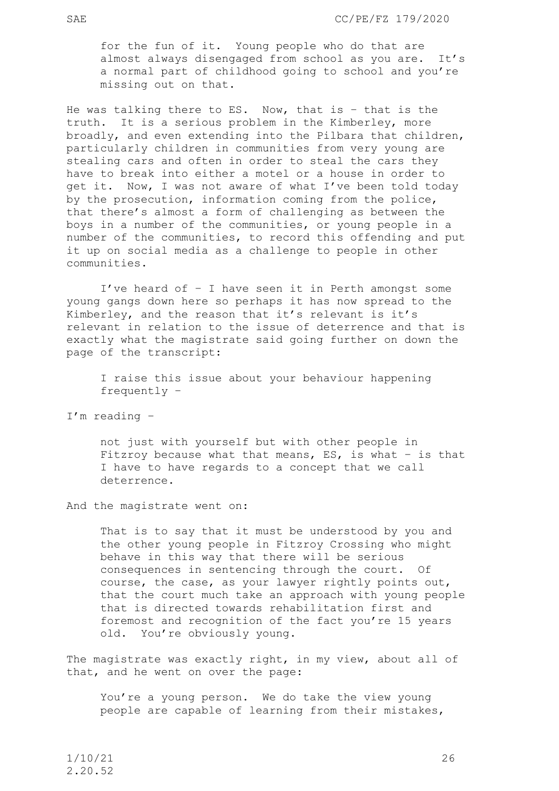for the fun of it. Young people who do that are almost always disengaged from school as you are. It's a normal part of childhood going to school and you're missing out on that.

He was talking there to ES. Now, that is – that is the truth. It is a serious problem in the Kimberley, more broadly, and even extending into the Pilbara that children, particularly children in communities from very young are stealing cars and often in order to steal the cars they have to break into either a motel or a house in order to get it. Now, I was not aware of what I've been told today by the prosecution, information coming from the police, that there's almost a form of challenging as between the boys in a number of the communities, or young people in a number of the communities, to record this offending and put it up on social media as a challenge to people in other communities.

I've heard of – I have seen it in Perth amongst some young gangs down here so perhaps it has now spread to the Kimberley, and the reason that it's relevant is it's relevant in relation to the issue of deterrence and that is exactly what the magistrate said going further on down the page of the transcript:

I raise this issue about your behaviour happening frequently –

I'm reading –

not just with yourself but with other people in Fitzroy because what that means, ES, is what – is that I have to have regards to a concept that we call deterrence.

And the magistrate went on:

That is to say that it must be understood by you and the other young people in Fitzroy Crossing who might behave in this way that there will be serious consequences in sentencing through the court. Of course, the case, as your lawyer rightly points out, that the court much take an approach with young people that is directed towards rehabilitation first and foremost and recognition of the fact you're 15 years old. You're obviously young.

The magistrate was exactly right, in my view, about all of that, and he went on over the page:

You're a young person. We do take the view young people are capable of learning from their mistakes,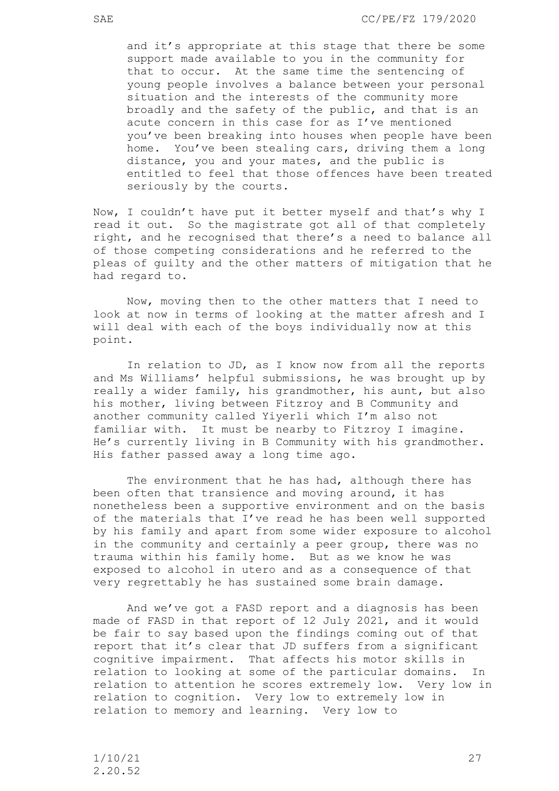and it's appropriate at this stage that there be some support made available to you in the community for that to occur. At the same time the sentencing of young people involves a balance between your personal situation and the interests of the community more broadly and the safety of the public, and that is an acute concern in this case for as I've mentioned you've been breaking into houses when people have been home. You've been stealing cars, driving them a long distance, you and your mates, and the public is entitled to feel that those offences have been treated seriously by the courts.

Now, I couldn't have put it better myself and that's why I read it out. So the magistrate got all of that completely right, and he recognised that there's a need to balance all of those competing considerations and he referred to the pleas of guilty and the other matters of mitigation that he had regard to.

 Now, moving then to the other matters that I need to look at now in terms of looking at the matter afresh and I will deal with each of the boys individually now at this point.

In relation to JD, as I know now from all the reports and Ms Williams' helpful submissions, he was brought up by really a wider family, his grandmother, his aunt, but also his mother, living between Fitzroy and B Community and another community called Yiyerli which I'm also not familiar with. It must be nearby to Fitzroy I imagine. He's currently living in B Community with his grandmother. His father passed away a long time ago.

The environment that he has had, although there has been often that transience and moving around, it has nonetheless been a supportive environment and on the basis of the materials that I've read he has been well supported by his family and apart from some wider exposure to alcohol in the community and certainly a peer group, there was no trauma within his family home. But as we know he was exposed to alcohol in utero and as a consequence of that very regrettably he has sustained some brain damage.

And we've got a FASD report and a diagnosis has been made of FASD in that report of 12 July 2021, and it would be fair to say based upon the findings coming out of that report that it's clear that JD suffers from a significant cognitive impairment. That affects his motor skills in relation to looking at some of the particular domains. In relation to attention he scores extremely low. Very low in relation to cognition. Very low to extremely low in relation to memory and learning. Very low to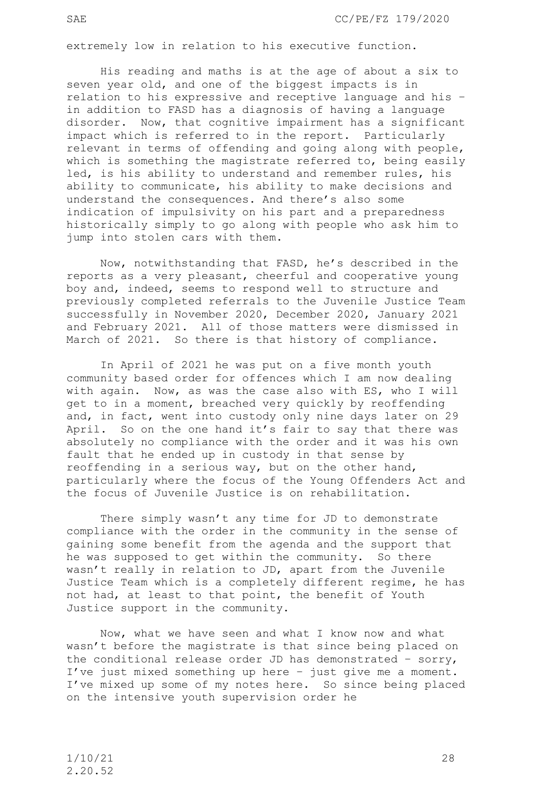extremely low in relation to his executive function.

 His reading and maths is at the age of about a six to seven year old, and one of the biggest impacts is in relation to his expressive and receptive language and his – in addition to FASD has a diagnosis of having a language disorder. Now, that cognitive impairment has a significant impact which is referred to in the report. Particularly relevant in terms of offending and going along with people, which is something the magistrate referred to, being easily led, is his ability to understand and remember rules, his ability to communicate, his ability to make decisions and understand the consequences. And there's also some indication of impulsivity on his part and a preparedness historically simply to go along with people who ask him to jump into stolen cars with them.

Now, notwithstanding that FASD, he's described in the reports as a very pleasant, cheerful and cooperative young boy and, indeed, seems to respond well to structure and previously completed referrals to the Juvenile Justice Team successfully in November 2020, December 2020, January 2021 and February 2021. All of those matters were dismissed in March of 2021. So there is that history of compliance.

In April of 2021 he was put on a five month youth community based order for offences which I am now dealing with again. Now, as was the case also with ES, who I will get to in a moment, breached very quickly by reoffending and, in fact, went into custody only nine days later on 29 April. So on the one hand it's fair to say that there was absolutely no compliance with the order and it was his own fault that he ended up in custody in that sense by reoffending in a serious way, but on the other hand, particularly where the focus of the Young Offenders Act and the focus of Juvenile Justice is on rehabilitation.

There simply wasn't any time for JD to demonstrate compliance with the order in the community in the sense of gaining some benefit from the agenda and the support that he was supposed to get within the community. So there wasn't really in relation to JD, apart from the Juvenile Justice Team which is a completely different regime, he has not had, at least to that point, the benefit of Youth Justice support in the community.

Now, what we have seen and what I know now and what wasn't before the magistrate is that since being placed on the conditional release order JD has demonstrated – sorry, I've just mixed something up here – just give me a moment. I've mixed up some of my notes here. So since being placed on the intensive youth supervision order he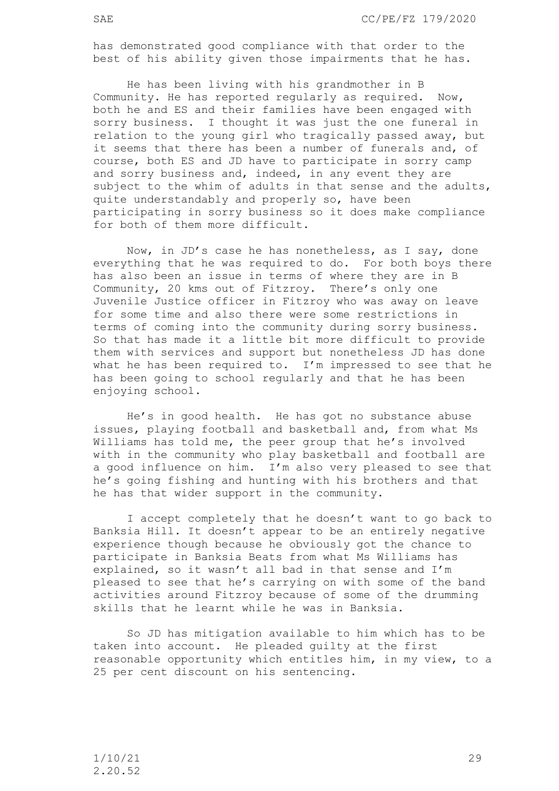has demonstrated good compliance with that order to the best of his ability given those impairments that he has.

He has been living with his grandmother in B Community. He has reported regularly as required. Now, both he and ES and their families have been engaged with sorry business. I thought it was just the one funeral in relation to the young girl who tragically passed away, but it seems that there has been a number of funerals and, of course, both ES and JD have to participate in sorry camp and sorry business and, indeed, in any event they are subject to the whim of adults in that sense and the adults, quite understandably and properly so, have been participating in sorry business so it does make compliance for both of them more difficult.

Now, in JD's case he has nonetheless, as I say, done everything that he was required to do. For both boys there has also been an issue in terms of where they are in B Community, 20 kms out of Fitzroy. There's only one Juvenile Justice officer in Fitzroy who was away on leave for some time and also there were some restrictions in terms of coming into the community during sorry business. So that has made it a little bit more difficult to provide them with services and support but nonetheless JD has done what he has been required to. I'm impressed to see that he has been going to school regularly and that he has been enjoying school.

He's in good health. He has got no substance abuse issues, playing football and basketball and, from what Ms Williams has told me, the peer group that he's involved with in the community who play basketball and football are a good influence on him. I'm also very pleased to see that he's going fishing and hunting with his brothers and that he has that wider support in the community.

I accept completely that he doesn't want to go back to Banksia Hill. It doesn't appear to be an entirely negative experience though because he obviously got the chance to participate in Banksia Beats from what Ms Williams has explained, so it wasn't all bad in that sense and I'm pleased to see that he's carrying on with some of the band activities around Fitzroy because of some of the drumming skills that he learnt while he was in Banksia.

 So JD has mitigation available to him which has to be taken into account. He pleaded guilty at the first reasonable opportunity which entitles him, in my view, to a 25 per cent discount on his sentencing.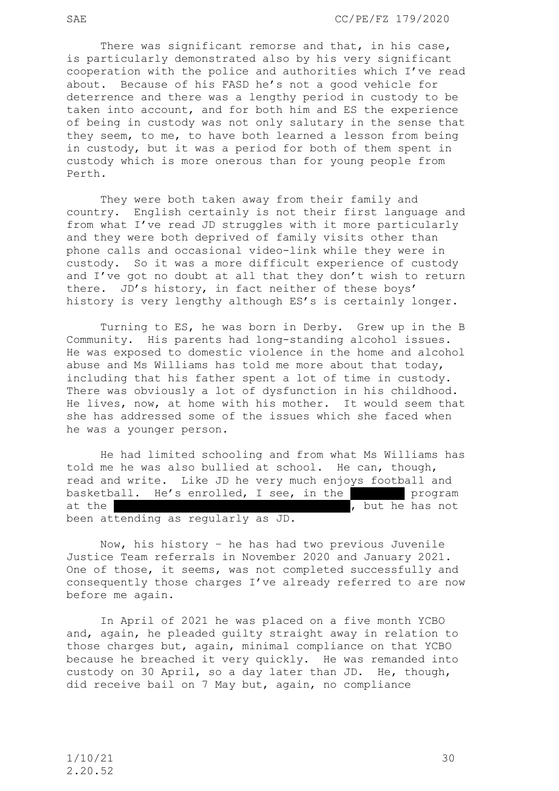SAE CC/PE/FZ 179/2020

There was significant remorse and that, in his case, is particularly demonstrated also by his very significant cooperation with the police and authorities which I've read about. Because of his FASD he's not a good vehicle for deterrence and there was a lengthy period in custody to be taken into account, and for both him and ES the experience of being in custody was not only salutary in the sense that they seem, to me, to have both learned a lesson from being in custody, but it was a period for both of them spent in custody which is more onerous than for young people from Perth.

They were both taken away from their family and country. English certainly is not their first language and from what I've read JD struggles with it more particularly and they were both deprived of family visits other than phone calls and occasional video-link while they were in custody. So it was a more difficult experience of custody and I've got no doubt at all that they don't wish to return there. JD's history, in fact neither of these boys' history is very lengthy although ES's is certainly longer.

Turning to ES, he was born in Derby. Grew up in the B Community. His parents had long-standing alcohol issues. He was exposed to domestic violence in the home and alcohol abuse and Ms Williams has told me more about that today, including that his father spent a lot of time in custody. There was obviously a lot of dysfunction in his childhood. He lives, now, at home with his mother. It would seem that she has addressed some of the issues which she faced when he was a younger person.

He had limited schooling and from what Ms Williams has told me he was also bullied at school. He can, though, read and write. Like JD he very much enjoys football and basketball. He's enrolled, I see, in the comparent program at the Fitzrow Communication of the has not been attending as regularly as JD.

 Now, his history – he has had two previous Juvenile Justice Team referrals in November 2020 and January 2021. One of those, it seems, was not completed successfully and consequently those charges I've already referred to are now before me again.

In April of 2021 he was placed on a five month YCBO and, again, he pleaded guilty straight away in relation to those charges but, again, minimal compliance on that YCBO because he breached it very quickly. He was remanded into custody on 30 April, so a day later than JD. He, though, did receive bail on 7 May but, again, no compliance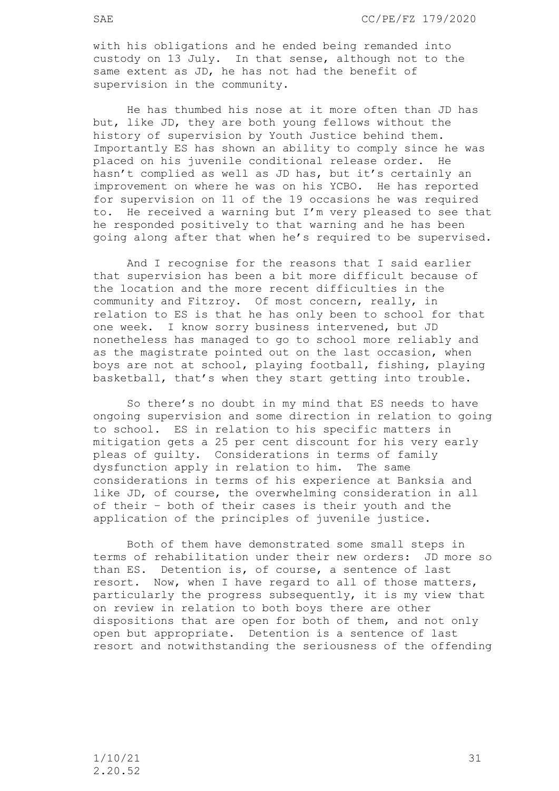with his obligations and he ended being remanded into custody on 13 July. In that sense, although not to the same extent as JD, he has not had the benefit of supervision in the community.

He has thumbed his nose at it more often than JD has but, like JD, they are both young fellows without the history of supervision by Youth Justice behind them. Importantly ES has shown an ability to comply since he was placed on his juvenile conditional release order. He hasn't complied as well as JD has, but it's certainly an improvement on where he was on his YCBO. He has reported for supervision on 11 of the 19 occasions he was required to. He received a warning but I'm very pleased to see that he responded positively to that warning and he has been going along after that when he's required to be supervised.

And I recognise for the reasons that I said earlier that supervision has been a bit more difficult because of the location and the more recent difficulties in the community and Fitzroy. Of most concern, really, in relation to ES is that he has only been to school for that one week. I know sorry business intervened, but JD nonetheless has managed to go to school more reliably and as the magistrate pointed out on the last occasion, when boys are not at school, playing football, fishing, playing basketball, that's when they start getting into trouble.

So there's no doubt in my mind that ES needs to have ongoing supervision and some direction in relation to going to school. ES in relation to his specific matters in mitigation gets a 25 per cent discount for his very early pleas of guilty. Considerations in terms of family dysfunction apply in relation to him. The same considerations in terms of his experience at Banksia and like JD, of course, the overwhelming consideration in all of their – both of their cases is their youth and the application of the principles of juvenile justice.

Both of them have demonstrated some small steps in terms of rehabilitation under their new orders: JD more so than ES. Detention is, of course, a sentence of last resort. Now, when I have regard to all of those matters, particularly the progress subsequently, it is my view that on review in relation to both boys there are other dispositions that are open for both of them, and not only open but appropriate. Detention is a sentence of last resort and notwithstanding the seriousness of the offending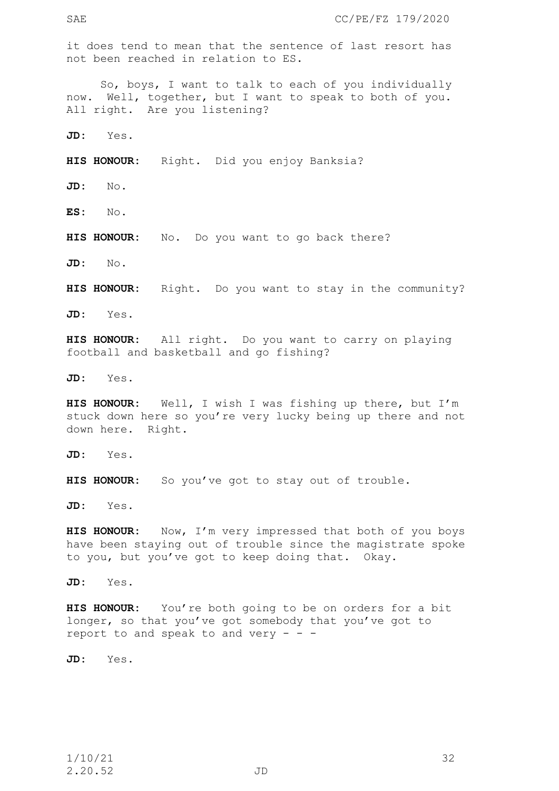it does tend to mean that the sentence of last resort has not been reached in relation to ES.

So, boys, I want to talk to each of you individually now. Well, together, but I want to speak to both of you. All right. Are you listening?

**JD:** Yes.

**HIS HONOUR:** Right. Did you enjoy Banksia?

**JD:** No.

**ES:** No.

**HIS HONOUR:** No. Do you want to go back there?

**JD:** No.

**HIS HONOUR:** Right. Do you want to stay in the community?

**JD:** Yes.

**HIS HONOUR:** All right. Do you want to carry on playing football and basketball and go fishing?

**JD:** Yes.

**HIS HONOUR:** Well, I wish I was fishing up there, but I'm stuck down here so you're very lucky being up there and not down here. Right.

**JD:** Yes.

**HIS HONOUR:** So you've got to stay out of trouble.

**JD:** Yes.

HIS HONOUR: Now, I'm very impressed that both of you boys have been staying out of trouble since the magistrate spoke to you, but you've got to keep doing that. Okay.

**JD:** Yes.

**HIS HONOUR:** You're both going to be on orders for a bit longer, so that you've got somebody that you've got to report to and speak to and  $very - -$ 

**JD:** Yes.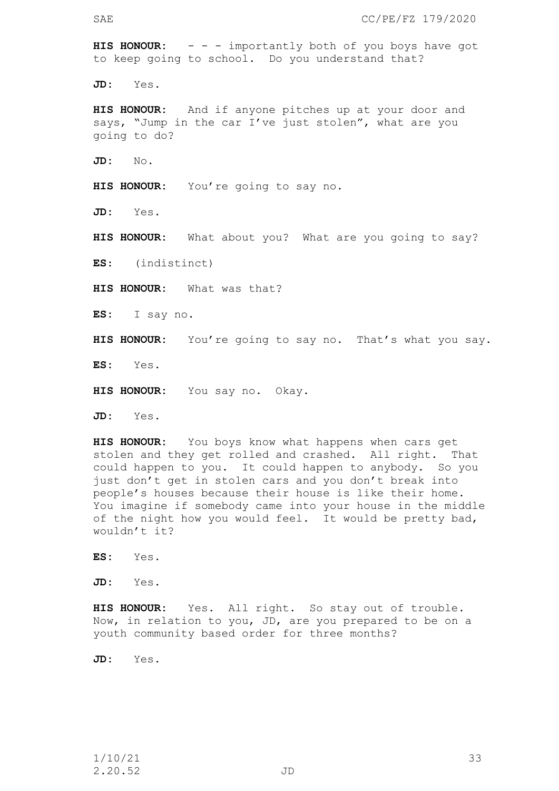**HIS HONOUR:** - - - importantly both of you boys have got to keep going to school. Do you understand that?

**JD:** Yes.

**HIS HONOUR:** And if anyone pitches up at your door and says, "Jump in the car I've just stolen", what are you going to do?

**JD:** No.

**HIS HONOUR:** You're going to say no.

**JD:** Yes.

**HIS HONOUR:** What about you? What are you going to say?

**ES**: (indistinct)

**HIS HONOUR:** What was that?

**ES:** I say no.

**HIS HONOUR:** You're going to say no. That's what you say.

**ES:** Yes.

**HIS HONOUR:** You say no. Okay.

**JD:** Yes.

**HIS HONOUR:** You boys know what happens when cars get stolen and they get rolled and crashed. All right. That could happen to you. It could happen to anybody. So you just don't get in stolen cars and you don't break into people's houses because their house is like their home. You imagine if somebody came into your house in the middle of the night how you would feel. It would be pretty bad, wouldn't it?

**ES:** Yes.

**JD:** Yes.

**HIS HONOUR:** Yes. All right. So stay out of trouble. Now, in relation to you, JD, are you prepared to be on a youth community based order for three months?

**JD:** Yes.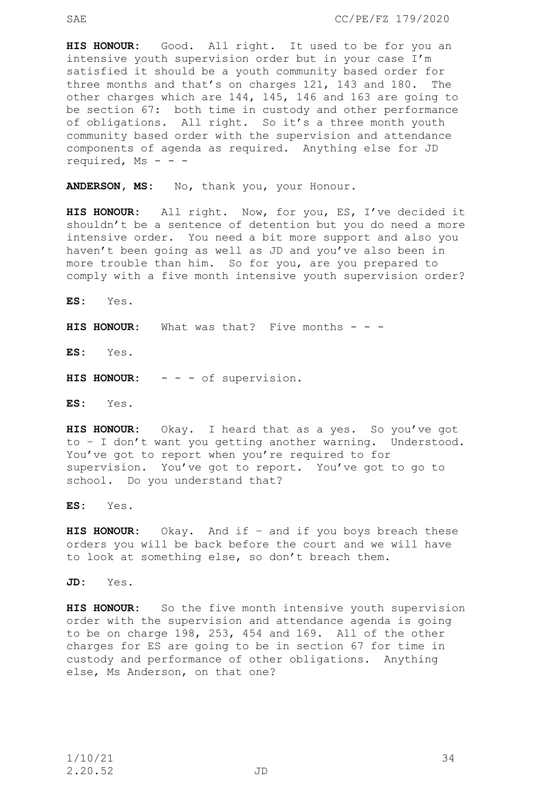**HIS HONOUR:** Good. All right. It used to be for you an intensive youth supervision order but in your case I'm satisfied it should be a youth community based order for three months and that's on charges 121, 143 and 180. The other charges which are 144, 145, 146 and 163 are going to be section 67: both time in custody and other performance of obligations. All right. So it's a three month youth community based order with the supervision and attendance components of agenda as required. Anything else for JD required, Ms - - -

**ANDERSON, MS:** No, thank you, your Honour.

**HIS HONOUR:** All right. Now, for you, ES, I've decided it shouldn't be a sentence of detention but you do need a more intensive order. You need a bit more support and also you haven't been going as well as JD and you've also been in more trouble than him. So for you, are you prepared to comply with a five month intensive youth supervision order?

**ES:** Yes.

**HIS HONOUR:** What was that? Five months - - -

**ES:** Yes.

**HIS HONOUR:** - - - of supervision.

**ES:** Yes.

**HIS HONOUR:** Okay. I heard that as a yes. So you've got to – I don't want you getting another warning. Understood. You've got to report when you're required to for supervision. You've got to report. You've got to go to school. Do you understand that?

**ES:** Yes.

**HIS HONOUR:** Okay. And if – and if you boys breach these orders you will be back before the court and we will have to look at something else, so don't breach them.

**JD:** Yes.

**HIS HONOUR:** So the five month intensive youth supervision order with the supervision and attendance agenda is going to be on charge 198, 253, 454 and 169. All of the other charges for ES are going to be in section 67 for time in custody and performance of other obligations. Anything else, Ms Anderson, on that one?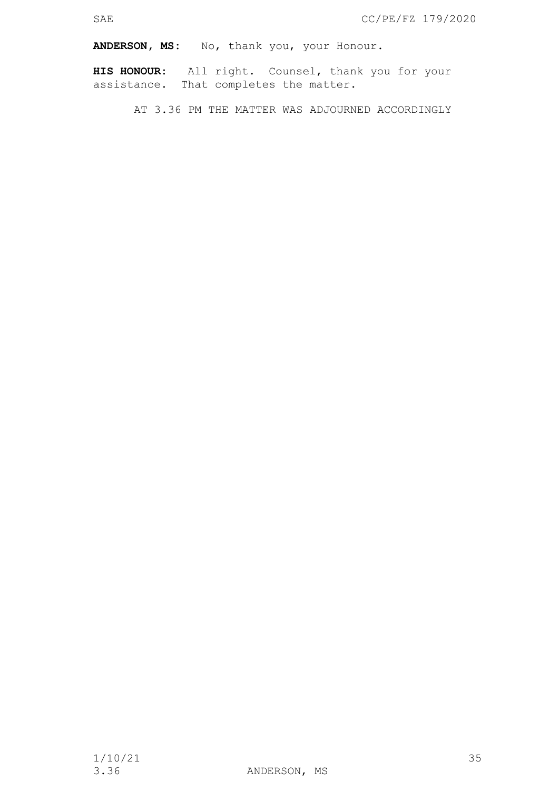**ANDERSON, MS:** No, thank you, your Honour.

**HIS HONOUR:** All right. Counsel, thank you for your assistance. That completes the matter.

AT 3.36 PM THE MATTER WAS ADJOURNED ACCORDINGLY